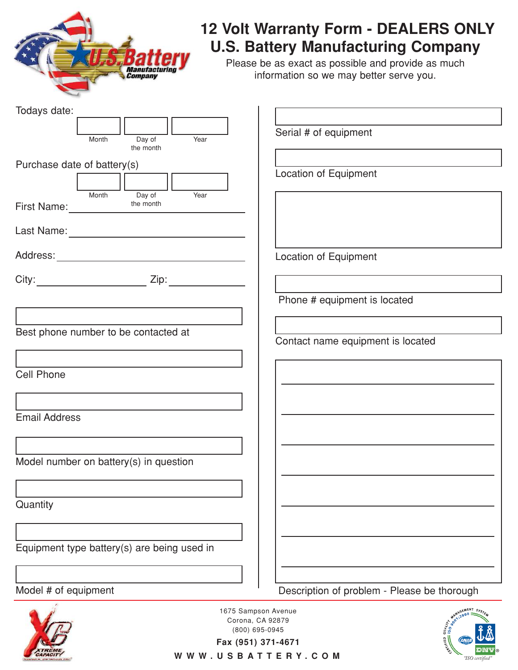

### **12 Volt Warranty Form - DEALERS ONLY U.S. Battery Manufacturing Company**

Please be as exact as possible and provide as much information so we may better serve you.

| Todays date:                                |                                                   |
|---------------------------------------------|---------------------------------------------------|
|                                             |                                                   |
| Day of<br>Year<br>Month                     | Serial # of equipment                             |
| the month                                   |                                                   |
| Purchase date of battery(s)                 |                                                   |
|                                             | <b>Location of Equipment</b>                      |
| Day of<br>Month<br>Year                     |                                                   |
| the month<br>First Name: the r              |                                                   |
|                                             |                                                   |
|                                             |                                                   |
|                                             |                                                   |
|                                             | <b>Location of Equipment</b>                      |
|                                             |                                                   |
|                                             |                                                   |
|                                             | Phone # equipment is located                      |
|                                             |                                                   |
| Best phone number to be contacted at        |                                                   |
|                                             | Contact name equipment is located                 |
|                                             |                                                   |
| <b>Cell Phone</b>                           |                                                   |
|                                             |                                                   |
|                                             |                                                   |
| <b>Email Address</b>                        |                                                   |
|                                             |                                                   |
|                                             |                                                   |
| Model number on battery(s) in question      |                                                   |
|                                             |                                                   |
|                                             |                                                   |
|                                             |                                                   |
| Quantity                                    |                                                   |
|                                             |                                                   |
|                                             |                                                   |
| Equipment type battery(s) are being used in |                                                   |
|                                             |                                                   |
|                                             |                                                   |
| Model # of equipment                        | Description of problem - Please be thorough       |
|                                             | NAGEMENT SYSTE<br>1675 Sampson Avenue<br>$2000 =$ |
| Corona, CA 92879                            |                                                   |
|                                             | (800) 695-0945                                    |



WWW.USBATTERY.COM

**®**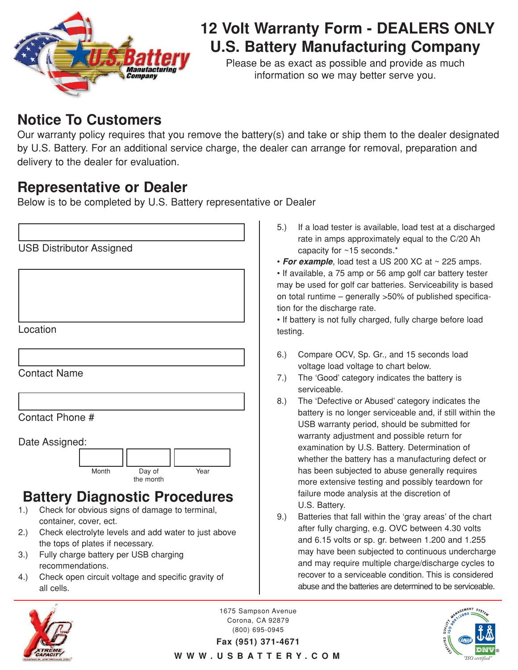

## **12 Volt Warranty Form - DEALERS ONLY U.S. Battery Manufacturing Company**

Please be as exact as possible and provide as much information so we may better serve you.

### **Notice To Customers**

Our warranty policy requires that you remove the battery(s) and take or ship them to the dealer designated by U.S. Battery. For an additional service charge, the dealer can arrange for removal, preparation and delivery to the dealer for evaluation.

### **Representative or Dealer**

Below is to be completed by U.S. Battery representative or Dealer

|     | <b>USB Distributor Assigned</b>                                                |
|-----|--------------------------------------------------------------------------------|
|     |                                                                                |
|     |                                                                                |
|     |                                                                                |
|     | Location                                                                       |
|     |                                                                                |
|     |                                                                                |
|     | <b>Contact Name</b>                                                            |
|     |                                                                                |
|     | Contact Phone #                                                                |
|     |                                                                                |
|     | Date Assigned:                                                                 |
|     |                                                                                |
|     | Month<br>Day of<br>Year<br>the month                                           |
|     | <b>Battery Diagnostic Procedures</b>                                           |
| 1.  | Check for obvious signs of damage to terminal,                                 |
| 2.) | container, cover, ect.<br>Check electrolyte levels and add water to just above |
|     | the tops of plates if necessary.                                               |
| 3.) | Fully charge battery per USB charging<br>recommendations.                      |

4.) Check open circuit voltage and specific gravity of all cells.

- 5.) If a load tester is available, load test at a discharged rate in amps approximately equal to the C/20 Ah capacity for ~15 seconds.\*
- **For example**, load test a US 200 XC at ~ 225 amps.

• If available, a 75 amp or 56 amp golf car battery tester may be used for golf car batteries. Serviceability is based on total runtime – generally >50% of published specification for the discharge rate.

• If battery is not fully charged, fully charge before load testing.

- 6.) Compare OCV, Sp. Gr., and 15 seconds load voltage load voltage to chart below.
- 7.) The 'Good' category indicates the battery is serviceable.
- 8.) The 'Defective or Abused' category indicates the battery is no longer serviceable and, if still within the USB warranty period, should be submitted for warranty adjustment and possible return for examination by U.S. Battery. Determination of whether the battery has a manufacturing defect or has been subjected to abuse generally requires more extensive testing and possibly teardown for failure mode analysis at the discretion of U.S. Battery.
- 9.) Batteries that fall within the 'gray areas' of the chart after fully charging, e.g. OVC between 4.30 volts and 6.15 volts or sp. gr. between 1.200 and 1.255 may have been subjected to continuous undercharge and may require multiple charge/discharge cycles to recover to a serviceable condition. This is considered abuse and the batteries are determined to be serviceable.



1675 Sampson Avenue Corona, CA 92879 (800) 695-0945

**®**

**Fax (951) 371-4671** WWW.USBATTERY.COM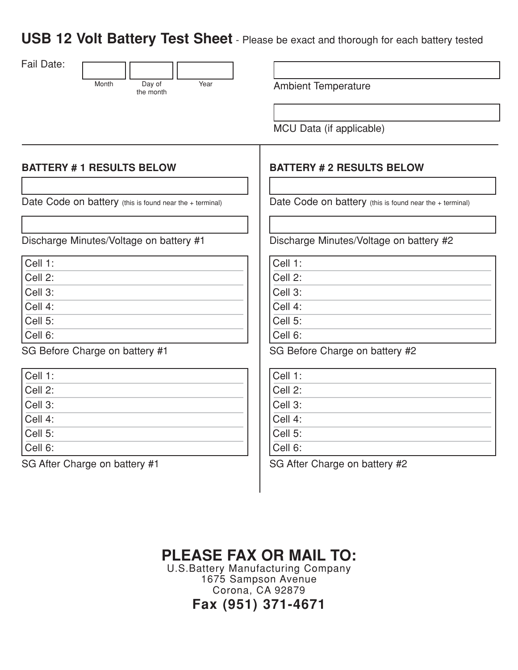**USB 12 Volt Battery Test Sheet** - Please be exact and thorough for each battery tested



Year **Ambient Temperature** 

MCU Data (if applicable)

#### **BATTERY # 1 RESULTS BELOW**

Date Code on battery (this is found near the + terminal)

Discharge Minutes/Voltage on battery #1

| Cell 1:                                 |  |
|-----------------------------------------|--|
| $\overline{\text{Cell 2:}}$             |  |
| $\overline{\overline{\text{Cell 3}}}$ : |  |
| $\overline{\overline{\text{Cell 4:}}}$  |  |
| $Cell 5$ :                              |  |
| $Cell 6$ :                              |  |

SG Before Charge on battery #1

| Cell 1:                                  |  |
|------------------------------------------|--|
| $\overline{\overline{\text{Cell 2}}}$ :  |  |
| Cell 3:                                  |  |
| $Cell 4$ :                               |  |
| $\overline{\overline{\text{Cell } 5}}$ : |  |
| $Cell 6$ :                               |  |

SG After Charge on battery #1

#### **BATTERY # 2 RESULTS BELOW**

Date Code on battery (this is found near the + terminal)

Discharge Minutes/Voltage on battery #2

Cell 1: Cell 2:

Cell 3:

Cell 4:

Cell 5:

Cell 6:

SG Before Charge on battery #2

| Cell 1: |  |
|---------|--|
| Cell 2: |  |
| Cell 3: |  |
| Cell 4: |  |
| Cell 5: |  |
| Cell 6: |  |
|         |  |

SG After Charge on battery #2

# **PLEASE FAX OR MAIL TO:**

U.S.Battery Manufacturing Company 1675 Sampson Avenue Corona, CA 92879 **Fax (951) 371-4671**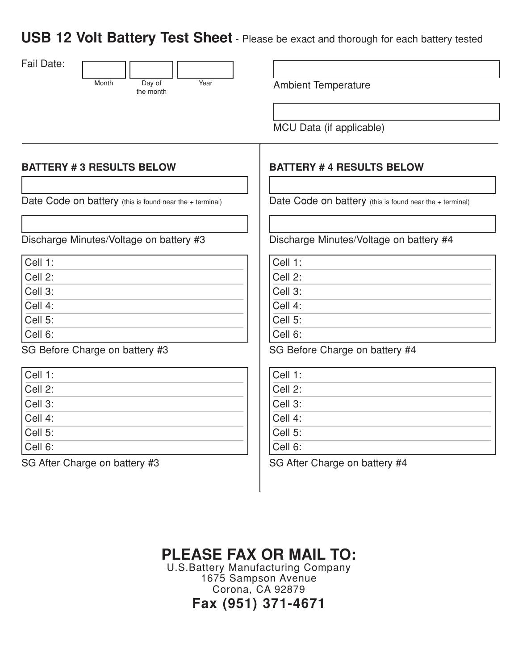**USB 12 Volt Battery Test Sheet** - Please be exact and thorough for each battery tested

| Fail Date:                                               |                             |                                                          |
|----------------------------------------------------------|-----------------------------|----------------------------------------------------------|
| Month                                                    | Year<br>Day of<br>the month | <b>Ambient Temperature</b>                               |
|                                                          |                             |                                                          |
|                                                          |                             | MCU Data (if applicable)                                 |
|                                                          |                             |                                                          |
|                                                          |                             |                                                          |
| <b>BATTERY #3 RESULTS BELOW</b>                          |                             | <b>BATTERY #4 RESULTS BELOW</b>                          |
|                                                          |                             |                                                          |
| Date Code on battery (this is found near the + terminal) |                             | Date Code on battery (this is found near the + terminal) |
|                                                          |                             |                                                          |
| Discharge Minutes/Voltage on battery #3                  |                             | Discharge Minutes/Voltage on battery #4                  |
|                                                          |                             |                                                          |
| Cell 1:                                                  |                             | Cell 1:                                                  |
| Cell 2:                                                  |                             | Cell 2:                                                  |
| Cell 3:                                                  |                             | Cell 3:                                                  |
| Cell 4:                                                  |                             | Cell 4:                                                  |
| Cell 5:                                                  |                             | Cell 5:                                                  |
| Cell 6:                                                  |                             | Cell 6:                                                  |
| SG Before Charge on battery #3                           |                             | SG Before Charge on battery #4                           |
| Cell 1:                                                  |                             | Cell 1:                                                  |
| Cell 2:                                                  |                             | Cell 2:                                                  |
| Cell 3:                                                  |                             | Cell 3:                                                  |
| Cell 4:                                                  |                             | Cell 4:                                                  |
| Cell 5:                                                  |                             | Cell 5:                                                  |
| Cell 6:                                                  |                             | Cell 6:                                                  |
|                                                          |                             |                                                          |

SG After Charge on battery #3

SG After Charge on battery #4

# **PLEASE FAX OR MAIL TO:**

U.S.Battery Manufacturing Company 1675 Sampson Avenue Corona, CA 92879 **Fax (951) 371-4671**